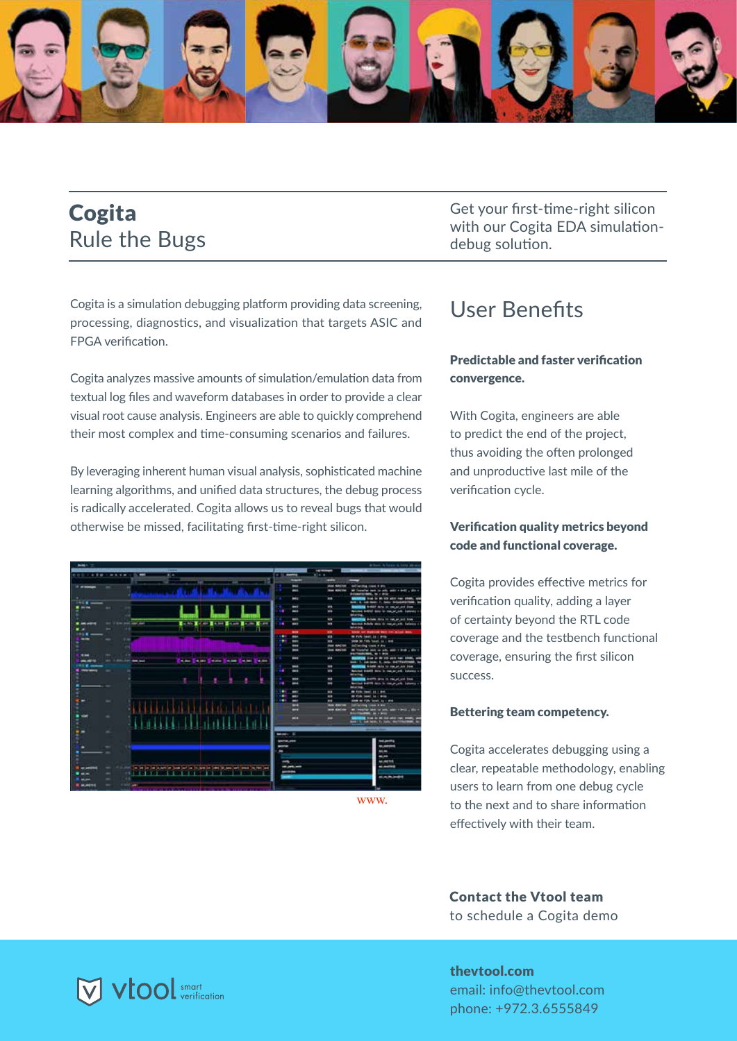

# **Cogita Rule the Bugs**

Cogita is a simulation debugging platform providing data screening, processing, diagnostics, and visualization that targets ASIC and FPGA verification.

Cogita analyzes massive amounts of simulation/emulation data from textual log files and waveform databases in order to provide a clear visual root cause analysis. Engineers are able to quickly comprehend their most complex and time-consuming scenarios and failures.

By leveraging inherent human visual analysis, sophisticated machine learning algorithms, and unified data structures, the debug process is radically accelerated. Cogita allows us to reveal bugs that would otherwise be missed, facilitating first-time-right silicon.

| <b>MAGIC</b>                                                                                                                                |                                                           |                                            | at from A hours in local ideas.                                                                         |
|---------------------------------------------------------------------------------------------------------------------------------------------|-----------------------------------------------------------|--------------------------------------------|---------------------------------------------------------------------------------------------------------|
|                                                                                                                                             |                                                           | ----                                       | ____<br>--                                                                                              |
| $\sim$<br><b>MOU - 4 8 8</b><br>----                                                                                                        | or to meeting                                             | <b>Killed</b>                              |                                                                                                         |
|                                                                                                                                             | -                                                         | -                                          |                                                                                                         |
| $-$<br>÷                                                                                                                                    | I                                                         | <b><i>Ideal Admitted</i></b>               | <b>Editoring tree if the</b>                                                                            |
|                                                                                                                                             | l                                                         | <b>Sheet Minutes</b>                       | W Transfer next to with water + \$400 a sile +<br>Automobilizations, for a detter                       |
| $-1$                                                                                                                                        | Į                                                         | m                                          | <b>SHERRING from the Michigan above many streets, who</b><br>Now 1. Low Now: 7, Neto: Microsoft 1986, N |
| $\cdots$<br>m                                                                                                                               | $\overline{\phantom{a}}$                                  | $\blacksquare$                             | <b>CHANGES TO SHAPE ALLOW AND COMPANY STAND.</b>                                                        |
|                                                                                                                                             | ٠<br>$\sim$                                               | m                                          | Noticed Bolivial Auto to manage and - bankery at<br><b>MARTIN</b>                                       |
|                                                                                                                                             | <b>Barnet</b>                                             | <b>With</b>                                | Second Middle Arts In red at not true.                                                                  |
| <b>Longitude In the Longitude</b><br><b>Stationary Assoc</b><br><b><i>M. Info. In fact</i></b><br>40.74<br>$-1$<br>$-1$<br>. .              | $\sim$<br><b>SHOT</b>                                     | <b>MS</b>                                  | Between Bellette states for manual with. Earliers a v.<br><b>Windows</b> Charles                        |
| $-0.4$                                                                                                                                      | -                                                         | $\cdots$                                   | trees are depended back for military state                                                              |
| $-10$                                                                                                                                       | <br>ļ                                                     | <b>SILLER</b>                              | to rule law: 16 / 916                                                                                   |
|                                                                                                                                             | ļ                                                         | $\overline{\phantom{a}}$                   | <b>Allian Mi Fishe Terrori, Inc. I deal-</b>                                                            |
|                                                                                                                                             | ļ                                                         | <b>Ches Aladien</b>                        | dell'involtati Louis di Bra-                                                                            |
| <br>-<br>$-1$                                                                                                                               | I                                                         | <b>Her Ancien</b>                          | all friends are a sit, and I had a day.<br><b>PATRASIUMS, 10 1 POS</b>                                  |
| --<br>--<br><b>American</b><br><b>Mission Company of Minister</b><br><b>STATE</b><br><b>MARK</b>                                            | ļ                                                         | <b>ALL</b>                                 | <b>Madeland</b> (First of the 103 and June 1999), and<br>Solo 1, car sea: 5, cuts: \$470440000. So      |
| ---                                                                                                                                         | ļ                                                         | $\blacksquare$                             | <b>NAMES OF DESCRIPTION OF PERSONS ASSESSED.</b>                                                        |
|                                                                                                                                             | ٠<br>$\overline{\phantom{a}}$                             | <b>MR</b>                                  | <b>Northern Broad Strip in Insurance-Reference In</b><br><b>All All Ford</b>                            |
| ٠                                                                                                                                           | $\overline{\phantom{a}}$<br>٠<br>$\overline{\phantom{a}}$ | $\blacksquare$<br>$\overline{\phantom{a}}$ | <b>Bank of Artists and Id rocat and Ideal</b>                                                           |
|                                                                                                                                             |                                                           |                                            | Norther Ball 15 days to the project. Selector is<br><b>MARINE</b>                                       |
|                                                                                                                                             | ٠<br>ļ                                                    | $\cdots$                                   | <b>White low'll be closed.</b>                                                                          |
|                                                                                                                                             | m <sub>2</sub><br>٠                                       | $\blacksquare$                             | At FIRE SHAT 12 1 949                                                                                   |
| -                                                                                                                                           | ۰                                                         | $-1$                                       | blow as Fifty Toyott, by 1 ship                                                                         |
|                                                                                                                                             | -                                                         | <b>They are you</b>                        | <b>Collecting Lines &amp; Mel</b>                                                                       |
| $-$                                                                                                                                         | -                                                         | <b>SHERRICH</b>                            | Williams and to sell pain views a star-<br><b>Branchautone, let y britt</b>                             |
|                                                                                                                                             | -                                                         |                                            | <b>MOVEMENT CONTRACTOR</b>                                                                              |
|                                                                                                                                             |                                                           |                                            |                                                                                                         |
|                                                                                                                                             | <b>MONEY CO.</b>                                          |                                            |                                                                                                         |
|                                                                                                                                             |                                                           |                                            |                                                                                                         |
|                                                                                                                                             | SHIPPER, JANET                                            |                                            | --                                                                                                      |
|                                                                                                                                             | -                                                         |                                            | 41,409,098                                                                                              |
|                                                                                                                                             |                                                           |                                            | $\frac{1}{2}$                                                                                           |
|                                                                                                                                             |                                                           |                                            | $\frac{1}{2}$                                                                                           |
|                                                                                                                                             | ⊸                                                         |                                            | 44, 6470.6                                                                                              |
| to selve a powerful coal of to include to just to be will work reflect and                                                                  | 49-14039-1403                                             |                                            | al mortell                                                                                              |
| 8 L L L L L<br>$\cdots$                                                                                                                     | $- - -$                                                   |                                            |                                                                                                         |
| -                                                                                                                                           |                                                           |                                            | <b>MARAGER</b>                                                                                          |
|                                                                                                                                             |                                                           |                                            |                                                                                                         |
| <b><i>MARINE</i></b><br>and the contract of the contract of the contract of the contract of the contract of the contract of the contract of |                                                           |                                            |                                                                                                         |
|                                                                                                                                             |                                                           |                                            |                                                                                                         |

.www

Get your first-time-right silicon with our Cogita EDA simulation-<br>debug solution.

## User Benefits

### **Predictable and faster verification** .convergence

With Cogita, engineers are able to predict the end of the project, thus avoiding the often prolonged and unproductive last mile of the verification cycle.

#### Verification quality metrics beyond code and functional coverage.

Cogita provides effective metrics for verification quality, adding a layer of certainty beyond the RTL code coverage and the testbench functional coverage, ensuring the first silicon success.

#### Bettering team competency.

Cogita accelerates debugging using a clear, repeatable methodology, enabling users to learn from one debug cycle to the next and to share information effectively with their team.

**Contact the Vtool team** to schedule a Cogita demo

thevtool.com email: info@thevtool.com phone: +972.3.6555849